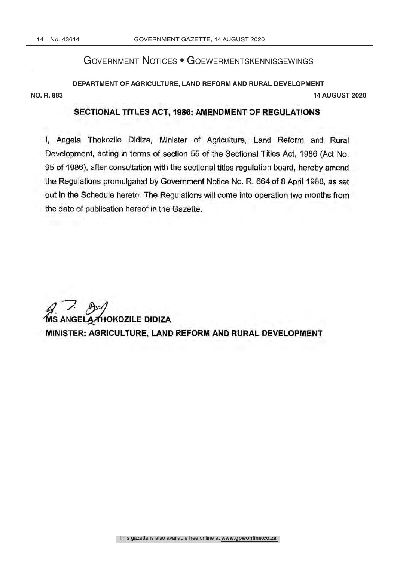no. , 2020. , 2020. , 2020. , 2020. , 2020. , 2020. , 2020. , 2020. , 2020. , 2020. , 2020. , 2020. , 2020. ,

## Government Notices • Goewermentskennisgewings

**DEPARTMENT OF AGRICULTURE, LAND REFORM AND RURAL DEVELOPMENT NO. R. 883 14 AUGUST 2020**

## SECTIONAL TITLES ACT, 1986: AMENDMENT OF REGULATIONS

I, Angela Thokozile Didiza, Minister of Agriculture, Land Reform and Rural Development, acting in terms of section 55 of the Sectional Titles Act, 1986 (Act No. 95 of 1986), after consultation with the sectional titles regulation board, hereby amend the Regulations promulgated by Government Notice No. R. 664 of 8 April 1988, as set out in the Schedule hereto. The Regulations will come into operation two months from the date of publication hereof in the Gazette.

**NGELA THOKOZILE DIDIZA** MINISTER: AGRICULTURE, LAND REFORM AND RURAL DEVELOPMENT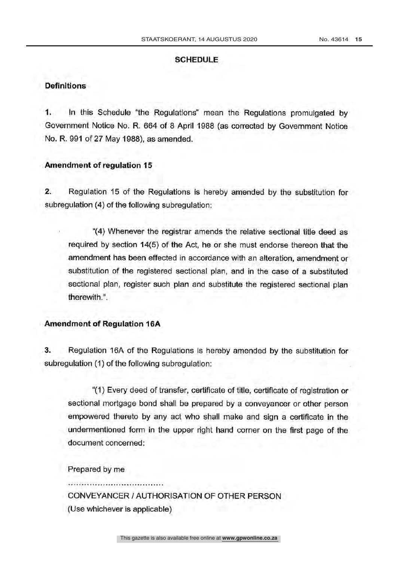#### SCHEDULE

#### **Definitions**

1. In this Schedule "the Regulations" mean the Regulations promulgated by Government Notice No. R. 664 of 8 April 1988 (as corrected by Government Notice No. R. 991 of 27 May 1988), as amended.

### Amendment of regulation 15

2. Regulation 15 of the Regulations is hereby amended by the substitution for subregulation (4) of the following subregulation:

"(4) Whenever the registrar amends the relative sectional title deed as required by section 14(5) of the Act, he or she must endorse thereon that the amendment has been effected in accordance with an alteration, amendment or substitution of the registered sectional plan, and in the case of a substituted sectional plan, register such plan and substitute the registered sectional plan therewith. ".

### Amendment of Regulation 16A

3. Regulation 16A of the Regulations is hereby amended by the substitution for subregulation (1) of the following subregulation:

"(1) Every deed of transfer, certificate of title, certificate of registration or sectional mortgage bond shall be prepared by a conveyancer or other person empowered thereto by any act who shall make and sign a certificate in the undermentioned form in the upper right hand corner on the first page of the document concerned:

Prepared by me

CONVEYANCER l AUTHORISATION OF OTHER PERSON (Use whichever is applicable)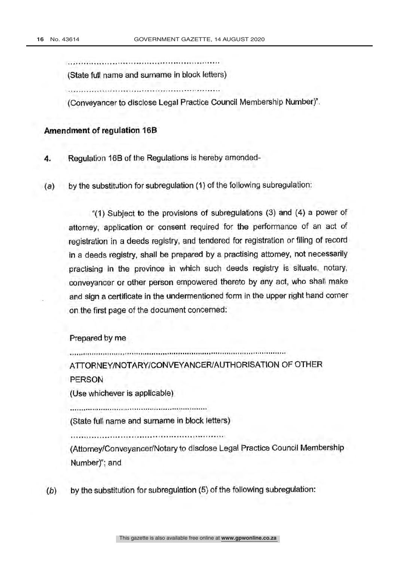(State full name and surname in block letters)

alestión reservacion del liberatura.

(Conveyancer to disclose Legal Practice Council Membership Number) ".

### Amendment of regulation 16B

4. Regulation 16B of the Regulations is hereby amended-

(a) by the substitution for subregulation (1) of the following subregulation:

"(1) Subject to the provisions of subregulations (3) and (4) a power of attorney, application or consent required for the performance of an act of registration in a deeds registry, and tendered for registration or filing of record in a deeds registry, shall be prepared by a practising attorney, not necessarily practising in the province in which such deeds registry is situate, notary, conveyancer or other person empowered thereto by any act, who shall make and sign a certificate in the undermentioned form in the upper right hand corner on the first page of the document concerned:

#### Prepared by me

ATTORNEY/NOTARY/CONVEYANCER/AUTHORISATION OF OTHER PERSON

(Use whichever is applicable)

(State full name and surname in block letters)

(Attorney/Conveyancer/Notary to disclose Legal Practice Council Membership Number)"; and

 $(b)$  by the substitution for subregulation  $(5)$  of the following subregulation: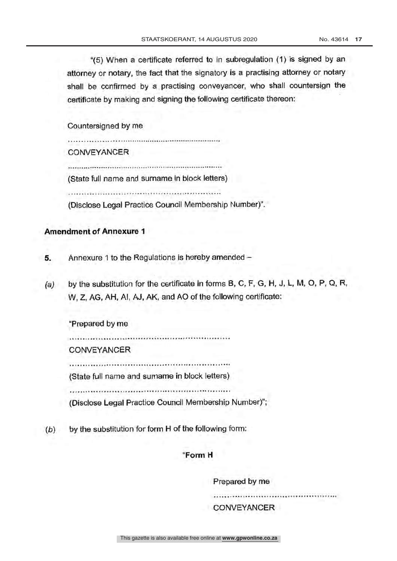"(5) When a certificate referred to in subregulation (1) is signed by an attorney or notary, the fact that the signatory is a practising attorney or notary shall be confirmed by a practising conveyancer, who shall countersign the certificate by making and signing the following certificate thereon:

Countersigned by me

**CONVEYANCER** 

(State full name and surname in block letters)

(Disclose Legal Practice Council Membership Number) ".

## Amendment of Annexure 1

- 5. Annexure 1 to the Regulations is hereby amended -
- (a) by the substitution for the certificate in forms B, C, F, G, H, J, L, M, O, P, Q, R, W, Z, AG, AH, Al, AJ, AK, and AO of the following certificate:

"Prepared by me

**CONVEYANCER** 

(State full name and surname in block letters)

(Disclose Legal Practice Council Membership Number) ";

 $(b)$  by the substitution for form H of the following form:

### "Form H

Prepared by me

CONVEYANCER

This gazette is also available free online at **www.gpwonline.co.za**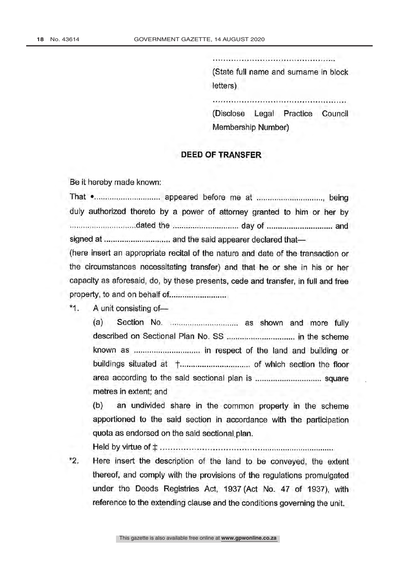(State full name and surname in block letters)

(Disclose Legal Practice Council Membership Number)

### DEED OF TRANSFER

Be it hereby made known:

That appeared before me at , being duly authorized thereto by a power of attorney granted to him or her by the day of medicing and and the day of and the day of and and the day of and the day of and the day of and the signed at and the said appearer declared that-

(here insert an appropriate recital of the nature and date of the transaction or the circumstances necessitating transfer) and that he or she in his or her capacity as aforesaid, do, by these presents, cede and transfer, in full and free property, to and on

 $*_{1}$ A unit consisting of-

> $(a)$  Section No.  $\ldots$  $\ldots$  $\ldots$  $\ldots$  $\ldots$  $\ldots$  as shown and more fully described on Sectional Plan No. SS in the scheme known as ............................... in respect of the land and building or buildings situated at t of which section the floor area according to the said sectional plan is square metres in extent; and

> (b) an undivided share in the common property in the scheme apportioned to the said section in accordance with the participation quota as endorsed on the said sectional. plan.

Held by virtue of t

\*2. Here insert the description of the land to be conveyed, the extent thereof, and comply with the provisions of the regulations promulgated under the Deeds Registries Act, 1937 (Act No. 47 of 1937), with reference to the extending clause and the conditions governing the unit.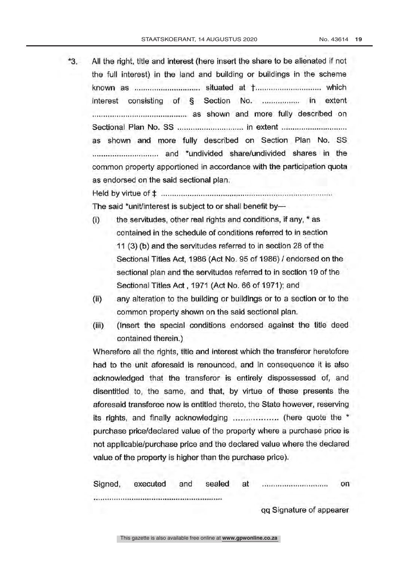\*3. All the right, title and interest (here insert the share to be alienated if not the full interest) in the land and building or buildings in the scheme known as situated at t which interest consisting of § Section No. ................. in extent as shown and more fully described on Sectional Plan No. SS in extent as shown and more fully described on Section Plan No. SS and \*undivided share /undivided shares in the common property apportioned in accordance with the participation quota as endorsed on the said sectional plan.

Held by virtue of \$ The said \*unit/interest is subject to or shall benefit by-

- the servitudes, other real rights and conditions, if any,\* as  $(i)$ contained in the schedule of conditions referred to in section 11 (3) (b) and the servitudes referred to in section 28 of the Sectional Titles Act, 1986 (Act No. 95 of 1986) / endorsed on the sectional plan and the servitudes referred to in section 19 of the Sectional Titles Act , 1971 (Act No. 66 of 1971); and
- (ii) any alteration to the building or buildings or to a section or to the common property shown on the said sectional plan.
- (iii) (Insert the special conditions endorsed against the title deed contained therein.)

Wherefore all the rights, title and interest which the transferor heretofore had to the unit aforesaid is renounced, and in consequence it is also acknowledged that the transferor is entirely dispossessed of, and disentitled to, the same, and that, by virtue of these presents the aforesaid transferee now is entitled thereto, the State however, reserving its rights, and finally acknowledging ................... (here quote the \* purchase price /declared value of the property where a purchase price is not applicable /purchase price and the declared value where the declared value of the property is higher than the purchase price).

| Signed, | executed | and | sealed<br>The Company | at<br><b>Service State</b> | <br>--------------       | on |
|---------|----------|-----|-----------------------|----------------------------|--------------------------|----|
|         |          |     |                       |                            |                          |    |
|         |          |     |                       |                            | qq Signature of appearer |    |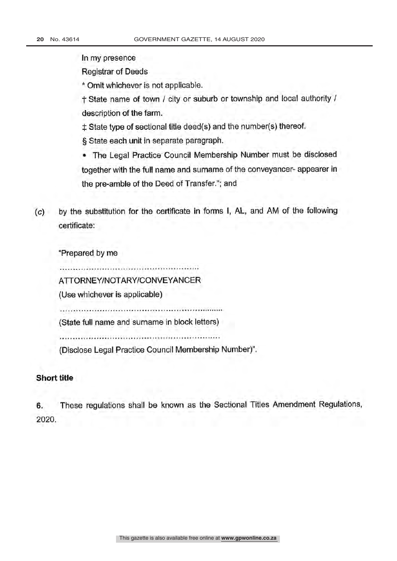In my presence

Registrar of Deeds

\* Omit whichever is not applicable.

t State name of town / city or suburb or township and local authority / description of the farm.

 $\ddagger$  State type of sectional title deed(s) and the number(s) thereof.

§ State each unit in separate paragraph.

The Legal Practice Council Membership Number must be disclosed together with the full name and surname of the conveyancer- appearer in the pre-amble of the Deed of Transfer."; and

(c) by the substitution for the certificate in forms I, AL, and AM of the following certificate:

"Prepared by me

ATTORNEY /NOTARY /CONVEYANCER

(Use whichever is applicable)

(State full name and surname in block letters)

(Disclose Legal Practice Council Membership Number) ".

# Short title

6. These regulations shall be known as the Sectional Titles Amendment Regulations, 2020.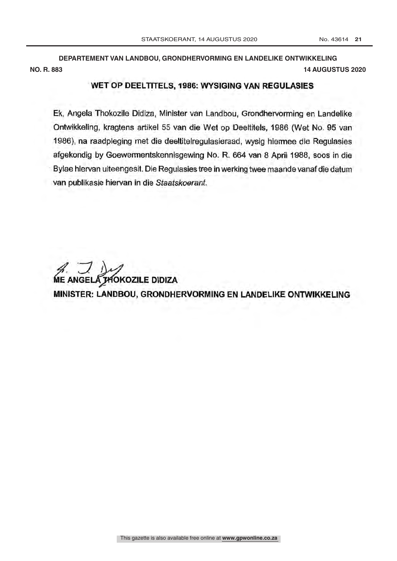**DEPARTEMENT VAN LANDBOU, GRONDHERVORMING EN LANDELIKE ONTWIKKELING NO. R. 883 14 AUGUSTUS 2020**

#### WET OP DEELTITELS, 1986: WYSIGING VAN REGULASIES

Ek, Angela Thokozile Didiza, Minister van Landbou, Grondhervorming en Landelike Ontwikkeling, kragtens artikel 55 van die Wet op Deeltitels, 1986 (Wet No. 95 van 1986), na raadpleging met die deeltitelregulasieraad, wysig hiermee die Regulasies afgekondig by Goewermentskennisgewing No. R. 664 van 8 April 1988, soos in die Bylae hiervan uiteengesit. Die Regulasies tree in werking twee maande vanaf die datum van publikasie hiervan in die Staatskoerant.

ME ANGELA THOKOZILE DIDIZA MINISTER: LANDBOU, GRONDHERVORMING EN LANDELIKE ONTWIKKELING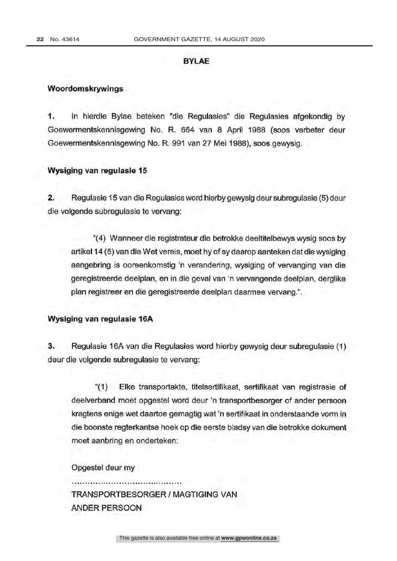### BYLAE

#### Woordomskrywings

1. In hierdie Bylae beteken "die Regulasies" die Regulasies afgekondig by Goewermentskennisgewing No. R. 664 van 8 April 1988 (soos verbeter deur Goewermentskennisgewing No. R. 991 van 27 Mei 1988), soos gewysig.

#### Wysiging van regulasie 15

2. Regulasie 15 van die Regulasies word hierby gewysig deur subregulasie (5) deur die volgende subregulasie te vervang:

"(4) Wanneer die registrateur die betrokke deeltitelbewys wysig soos by artikel 14 (5) van die Wet vereis, moet by of sy daarop aanteken dat die wysiging aangebring is ooreenkomstig 'n verandering, wysiging of vervanging van die geregistreerde deelpian, en in die geval van 'n vervangende deelpian, derglike plan registreer en die geregistreerde deelpian daarmee vervang.".

### Wysiging van regulasie 16A

3. Regulasie 16A van die Regulasies word hierby gewysig deur subregulasie (1) deur die volgende subregulasie te vervang:

"(1) Elke transportakte, titelsertifikaat, sertifikaat van registrasie of deelverband moet opgestel word deur 'n transportbesorger of ander persoon kragtens enige wet daartoe gemagtig wat 'n sertifikaat in onderstaande vorm in die boonste regterkantse hoek op die eerste bladsy van die betrokke dokument moet aanbring en onderteken:

Opgestel deur my

TRANSPORTBESORGER / MAGTIGING VAN ANDER PERSOON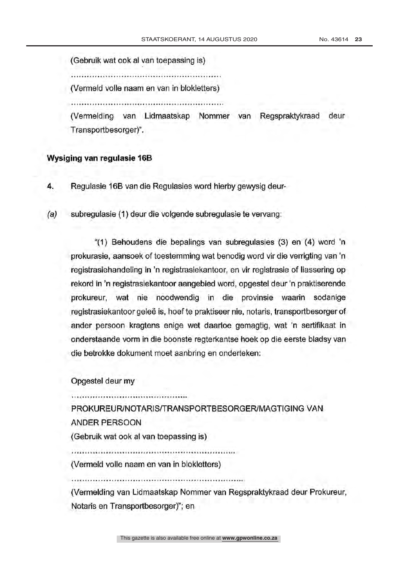(Gebruik wat ook al van toepassing is)

(Vermeld volle naam en van in blokietters)

(Vermelding van Lidmaatskap Nommer van Regspraktykraad deur Transportbesorger)".

#### Wysiging van regulasie 16B

4. Regulasie 16B van die Regulasies word hierby gewysig deur-

(a) subregulasie (1) deur die volgende subregulasie te vervang:

"(1) Behoudens die bepalings van subregulasies (3) en (4) word 'n prokurasie, aansoek of toestemming wat benodig word vir die verrigting van 'n registrasiehandeling in 'n registrasiekantoor, en vir registrasie of liassering op rekord in 'n registrasiekantoor aangebied word, opgestel deur 'n praktiserende "(1) Behoudens die bepalings van subregulasies (3) en (4) word 'n<br>prokurasie, aansoek of toestemming wat benodig word vir die verrigting van 'n<br>registrasiehandeling in 'n registrasiekantoor, en vir registrasie of liasserin registrasiekantoor geleë is, hoef te praktiseer nie, notaris, transportbesorger of ander persoon kragtens enige wet daartoe gemagtig, wat 'n sertifikaat in onderstaande vorm in die boonste regterkantse hoek op die eerste bladsy van die betrokke dokument moet aanbring en onderteken:

Opgestel deur my

PROKUREUR/NOTARIS/TRANSPORTBESORGER/MAGTIGING VAN ANDER PERSOON

(Gebruik wat ook al van toepassing is)

(Vermeid volle naam en van in blokietters)

(Vermelding van Lidmaatskap Nommer van Regspraktykraad deur Prokureur, Notaris en Transportbesorger)"; en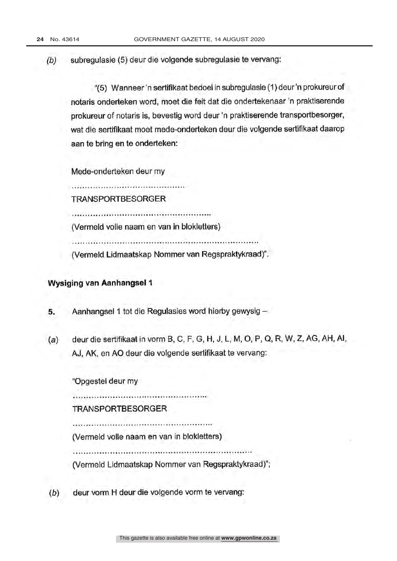(b) subregulasie (5) deur die volgende subregulasie te vervang:

"(5) Wanneer'n sertifikaat bedoel in subregulasie (1) deur 'n prokureur of notaris onderteken word, moet die feit dat die ondertekenaar 'n praktiserende prokureur of notaris is, bevestig word deur 'n praktiserende transportbesorger, wat die sertifikaat moet mede- onderteken deur die volgende sertifikaat daarop aan te bring en te onderteken:

Mede -onderteken deur my

TRANSPORTBESORGER

( Vermeid volle naam en van in blokietters)

(Vermeld Lidmaatskap Nommer van Regspraktykraad)".

### Wysiging van Aanhangsel <sup>1</sup>

- 5. Aanhangsel 1 tot die Regulasies word hierby gewysig -
- (a) deur die sertifikaat in vorm B, C, F, G, H, J, L, M, O, P, Q, R, W, Z, AG, AH, Al, AJ, AK, en AO deur die volgende sertifikaat te vervang:

"Opgestel deur my

TRANSPORTBESORGER

( Vermeid volle naam en van in blokietters)

(Vermeld Lidmaatskap Nommer van Regspraktykraad) ";

(b) deur vorm H deur die volgende vorm te vervang: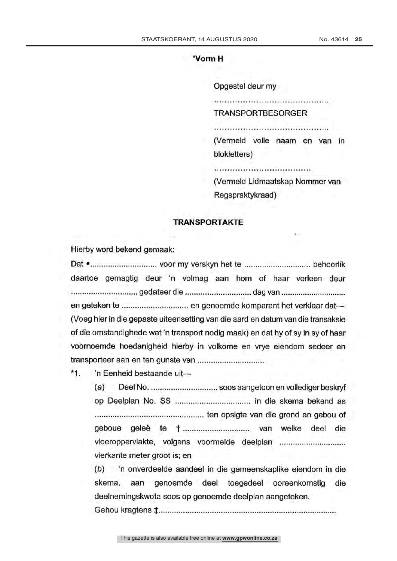### "Vorm H

Opgestel deur my

TRANSPORTBESORGER

(Vermeld volle naam en van in blokletters)

( Vermeid Lidmaatskap Nommer van Regspraktykraad)

### TRANSPORTAKTE

Hierby word bekend gemaak:

Dat voor my verskyn het te behoorlik daartoe gemagtig deur 'n volmag aan horn of haar verleen deur gedateer die maakkendie dag van maakkende dag van dag van dag van dag van die dag van die dag van die dag van en geteken te ................................. en genoemde komparant het verklaar dat-(Voeg hier in die gepaste uiteensetting van die aard en datum van die transaksie of die omstandighede wat 'n transport nodig maak) en dat by of sy in sy of haar voornoemde hoedanigheid hierby in volkome en vrye eiendom sedeer en transporteer aan en ten gunste van

\*1. 'n Eenheid bestaande uit-

(a) Deel No. soos aangetoon en vollediger beskryf op Deelplan No. SS in die skema bekend as ten opsigte van die grond en gebou of geboue geleë te <sup>t</sup> van welke deel die vloeroppervlakte, volgens voormelde deelplan vierkante meter groot is; en skema, aan genoemde deel toegedeel ooreenkomstig die

(b) 'n onverdeelde aandeel in die gemeenskaplike eiendom in die deelnemingskwota soos op genoemde deelplan aangeteken.

Gehou kragtens \$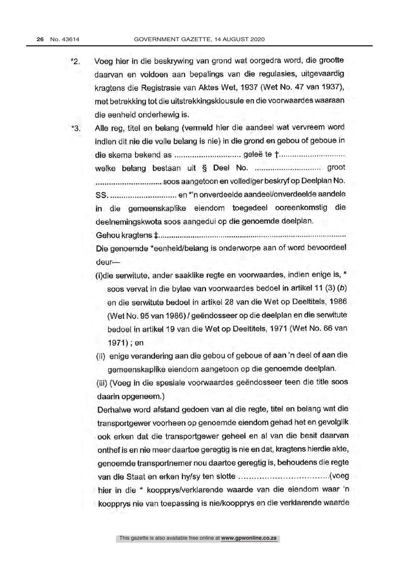\*2. Voeg hier in die beskrywing van grond wat oorgedra word, die grootte daarvan en voldoen aan bepalings van die regulasies, uitgevaardig kragtens die Registrasie van Aktes Wet, 1937 (Wet No. 47 van 1937), met betrekking tot die uitstrekkingsklousule en die voorwaardes waaraan die eenheid onderhewig is.

\*3. Alle reg, titel en belang (vermeld hier die aandeel wat vervreem word indien dit nie die volle belang is nie) in die grond en gebou of geboue in die skema bekend as geleë to t welke belang bestaan uit § Deel No. groot soos aangetoon en vollediger beskryf op Deelplan No. SS. en \*'n onverdeelde aandeel / onverdeelde aandele in die gemeenskaplike eiendom toegedeel ooreenkomstig die deelnemingskwota soos aangedui op die genoemde deelplan. Gehou kragtens

Die genoemde \*eenheid/belang is onderworpe aan of word bevoordeel deur

- (i)die serwitute, ander saaklike regte en voorwaardes, indien enige is, soos vervat in die bylae van voorwaardes bedoel in artikel 11 (3) (b) en die serwitute bedoel in artikel 28 van die Wet op Deeltitels, 1986 (Wet No. 95 van 1986) / geëndosseer op die deelplan en die serwitute bedoel in artikel 19 van die Wet op Deeltitels, 1971 (Wet No. 66 van 1971) ; en
- (ii) enige verandering aan die gebou of geboue of aan 'n deel of aan die gemeenskaplike eiendom aangetoon op die genoemde deelplan.

(iii) (Voeg in die spesiale voorwaardes geëndosseer teen die title soos daarin opgeneem.)

Derhalwe word afstand gedoen van al die regte, titel en belang wat die transportgewer voorheen op genoemde eiendom gehad het en gevoiglik ook erken dat die transportgewer geheel en al van die besit daarvan onthef is en nie meer daartoe geregtig is nie en dat, kragtens hierdie akte, genoemde transportnemer nou daartoe geregtig is, behoudens die regte van die Staat en erken hylsy ten slotte (voeg hier in die \* koopprys/verklarende waarde van die eiendom waar 'n koopprys nie van toepassing is nie/koopprys en die verklarende waarde